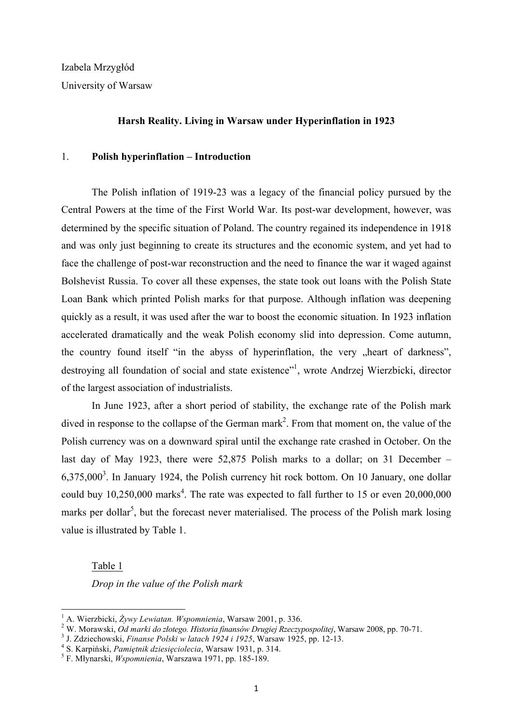Izabela Mrzygłód University of Warsaw

### **Harsh Reality. Living in Warsaw under Hyperinflation in 1923**

## 1. **Polish hyperinflation – Introduction**

The Polish inflation of 1919-23 was a legacy of the financial policy pursued by the Central Powers at the time of the First World War. Its post-war development, however, was determined by the specific situation of Poland. The country regained its independence in 1918 and was only just beginning to create its structures and the economic system, and yet had to face the challenge of post-war reconstruction and the need to finance the war it waged against Bolshevist Russia. To cover all these expenses, the state took out loans with the Polish State Loan Bank which printed Polish marks for that purpose. Although inflation was deepening quickly as a result, it was used after the war to boost the economic situation. In 1923 inflation accelerated dramatically and the weak Polish economy slid into depression. Come autumn, the country found itself "in the abyss of hyperinflation, the very "heart of darkness", destroying all foundation of social and state existence"<sup>1</sup>, wrote Andrzej Wierzbicki, director of the largest association of industrialists.

In June 1923, after a short period of stability, the exchange rate of the Polish mark dived in response to the collapse of the German mark<sup>2</sup>. From that moment on, the value of the Polish currency was on a downward spiral until the exchange rate crashed in October. On the last day of May 1923, there were 52,875 Polish marks to a dollar; on 31 December –  $6,375,000<sup>3</sup>$ . In January 1924, the Polish currency hit rock bottom. On 10 January, one dollar could buy  $10,250,000$  marks<sup>4</sup>. The rate was expected to fall further to 15 or even  $20,000,000$ marks per dollar<sup>5</sup>, but the forecast never materialised. The process of the Polish mark losing value is illustrated by Table 1.

Table 1

<u> 1989 - Johann Stein, marwolaethau a bh</u>

*Drop in the value of the Polish mark*

<sup>&</sup>lt;sup>1</sup> A. Wierzbicki, Żywy Lewiatan. Wspomnienia, Warsaw 2001, p. 336.<br><sup>2</sup> W. Morawski, *Od marki do złotego. Historia finansów Drugiej Rzeczypospolitej*, Warsaw 2008, pp. 70-71.<br><sup>3</sup> J. Zdziechowski, *Finanse Polski w latach*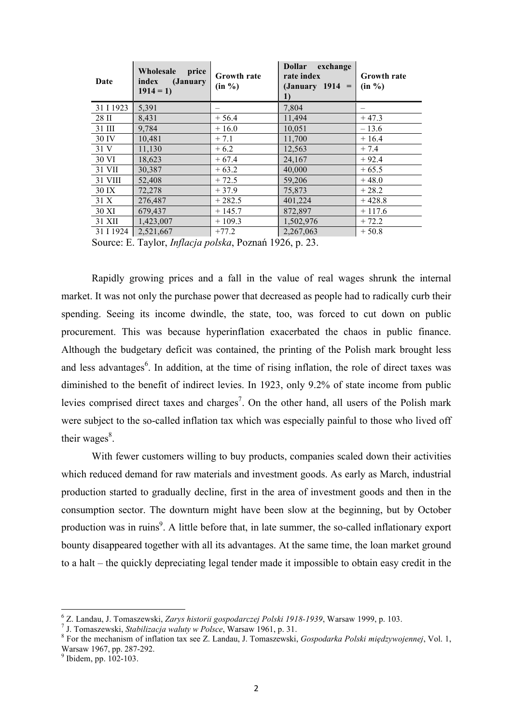| Date      | Wholesale<br>price<br>index<br>( <i>January</i><br>$1914 = 1$ | <b>Growth rate</b><br>(in %) | <b>Dollar</b><br>exchange<br>rate index<br>$(January 1914 =$<br>1) | <b>Growth rate</b><br>(in %) |
|-----------|---------------------------------------------------------------|------------------------------|--------------------------------------------------------------------|------------------------------|
| 31 I 1923 | 5,391                                                         |                              | 7,804                                                              |                              |
| 28 II     | 8,431                                                         | $+56.4$                      | 11,494                                                             | $+47.3$                      |
| 31 III    | 9,784                                                         | $+16.0$                      | 10,051                                                             | $-13.6$                      |
| 30 IV     | 10,481                                                        | $+7.1$                       | 11,700                                                             | $+16.4$                      |
| 31 V      | 11,130                                                        | $+6.2$                       | 12,563                                                             | $+7.4$                       |
| 30 VI     | 18,623                                                        | $+67.4$                      | 24,167                                                             | $+92.4$                      |
| 31 VII    | 30,387                                                        | $+63.2$                      | 40,000                                                             | $+65.5$                      |
| 31 VIII   | 52,408                                                        | $+72.5$                      | 59,206                                                             | $+48.0$                      |
| 30 IX     | 72,278                                                        | $+37.9$                      | 75,873                                                             | $+28.2$                      |
| 31 X      | 276,487                                                       | $+282.5$                     | 401,224                                                            | $+428.8$                     |
| 30 XI     | 679,437                                                       | $+145.7$                     | 872,897                                                            | $+117.6$                     |
| 31 XII    | 1,423,007                                                     | $+109.3$                     | 1,502,976                                                          | $+72.2$                      |
| 31 I 1924 | 2,521,667                                                     | $+77.2$                      | 2,267,063                                                          | $+50.8$                      |

Source: E. Taylor, *Inflacja polska*, Poznań 1926, p. 23.

Rapidly growing prices and a fall in the value of real wages shrunk the internal market. It was not only the purchase power that decreased as people had to radically curb their spending. Seeing its income dwindle, the state, too, was forced to cut down on public procurement. This was because hyperinflation exacerbated the chaos in public finance. Although the budgetary deficit was contained, the printing of the Polish mark brought less and less advantages<sup>6</sup>. In addition, at the time of rising inflation, the role of direct taxes was diminished to the benefit of indirect levies. In 1923, only 9.2% of state income from public levies comprised direct taxes and charges<sup>7</sup>. On the other hand, all users of the Polish mark were subject to the so-called inflation tax which was especially painful to those who lived off their wages $8$ .

With fewer customers willing to buy products, companies scaled down their activities which reduced demand for raw materials and investment goods. As early as March, industrial production started to gradually decline, first in the area of investment goods and then in the consumption sector. The downturn might have been slow at the beginning, but by October production was in ruins<sup>9</sup>. A little before that, in late summer, the so-called inflationary export bounty disappeared together with all its advantages. At the same time, the loan market ground to a halt – the quickly depreciating legal tender made it impossible to obtain easy credit in the

<sup>&</sup>lt;sup>6</sup> Z. Landau, J. Tomaszewski, *Zarys historii gospodarczej Polski 1918-1939*, Warsaw 1999, p. 103.<br><sup>7</sup> J. Tomaszewski, *Stabilizacja waluty w Polsce*, Warsaw 1961, p. 31.<br><sup>8</sup> For the mechanism of inflation tax see Z. Land

 $9$  Ibidem, pp.  $102-103$ .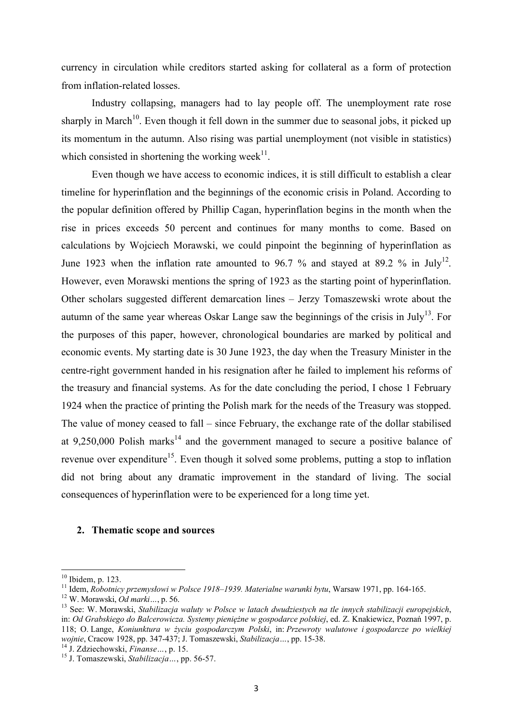currency in circulation while creditors started asking for collateral as a form of protection from inflation-related losses.

Industry collapsing, managers had to lay people off. The unemployment rate rose sharply in March<sup>10</sup>. Even though it fell down in the summer due to seasonal jobs, it picked up its momentum in the autumn. Also rising was partial unemployment (not visible in statistics) which consisted in shortening the working week $11$ .

Even though we have access to economic indices, it is still difficult to establish a clear timeline for hyperinflation and the beginnings of the economic crisis in Poland. According to the popular definition offered by Phillip Cagan, hyperinflation begins in the month when the rise in prices exceeds 50 percent and continues for many months to come. Based on calculations by Wojciech Morawski, we could pinpoint the beginning of hyperinflation as June 1923 when the inflation rate amounted to 96.7 % and stayed at 89.2 % in July<sup>12</sup>. However, even Morawski mentions the spring of 1923 as the starting point of hyperinflation. Other scholars suggested different demarcation lines – Jerzy Tomaszewski wrote about the autumn of the same year whereas Oskar Lange saw the beginnings of the crisis in July<sup>13</sup>. For the purposes of this paper, however, chronological boundaries are marked by political and economic events. My starting date is 30 June 1923, the day when the Treasury Minister in the centre-right government handed in his resignation after he failed to implement his reforms of the treasury and financial systems. As for the date concluding the period, I chose 1 February 1924 when the practice of printing the Polish mark for the needs of the Treasury was stopped. The value of money ceased to fall – since February, the exchange rate of the dollar stabilised at 9.250,000 Polish marks<sup>14</sup> and the government managed to secure a positive balance of revenue over expenditure<sup>15</sup>. Even though it solved some problems, putting a stop to inflation did not bring about any dramatic improvement in the standard of living. The social consequences of hyperinflation were to be experienced for a long time yet.

### **2. Thematic scope and sources**

<sup>&</sup>lt;sup>10</sup> Ibidem, p. 123.<br><sup>11</sup> Idem, *Robotnicy przemysłowi w Polsce 1918–1939. Materialne warunki bytu*, Warsaw 1971, pp. 164-165.<br><sup>12</sup> W. Morawski, *Od marki...*, p. 56.<br><sup>13</sup> See: W. Morawski, *Stabilizacja waluty w Polsce w* in: *Od Grabskiego do Balcerowicza. Systemy pieniężne w gospodarce polskiej*, ed. Z. Knakiewicz, Poznań 1997, p. 118; O. Lange, *Koniunktura w życiu gospodarczym Polski*, in: *Przewroty walutowe i gospodarcze po wielkiej wojnie*, Cracow 1928, pp. 347-437; J. Tomaszewski, *Stabilizacja* ..., pp. 15-38.<br><sup>14</sup> J. Zdziechowski, *Finanse* ..., p. 15.<br><sup>15</sup> J. Tomaszewski, *Stabilizacja* ..., pp. 56-57.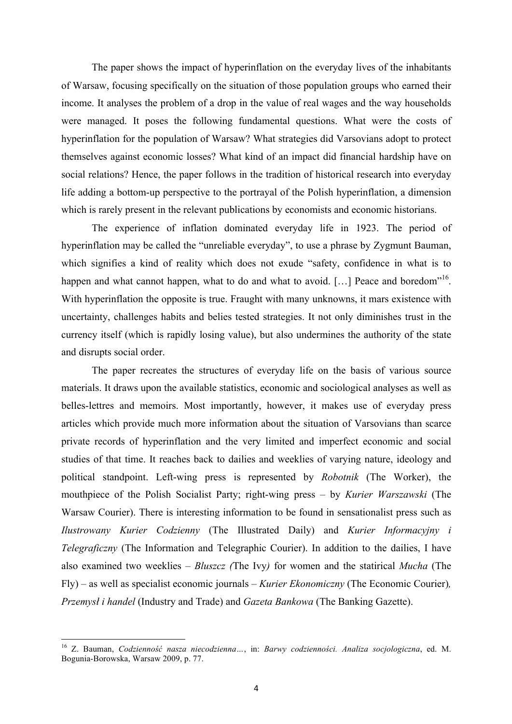The paper shows the impact of hyperinflation on the everyday lives of the inhabitants of Warsaw, focusing specifically on the situation of those population groups who earned their income. It analyses the problem of a drop in the value of real wages and the way households were managed. It poses the following fundamental questions. What were the costs of hyperinflation for the population of Warsaw? What strategies did Varsovians adopt to protect themselves against economic losses? What kind of an impact did financial hardship have on social relations? Hence, the paper follows in the tradition of historical research into everyday life adding a bottom-up perspective to the portrayal of the Polish hyperinflation, a dimension which is rarely present in the relevant publications by economists and economic historians.

The experience of inflation dominated everyday life in 1923. The period of hyperinflation may be called the "unreliable everyday", to use a phrase by Zygmunt Bauman, which signifies a kind of reality which does not exude "safety, confidence in what is to happen and what cannot happen, what to do and what to avoid. [...] Peace and boredom<sup> $16$ </sup>. With hyperinflation the opposite is true. Fraught with many unknowns, it mars existence with uncertainty, challenges habits and belies tested strategies. It not only diminishes trust in the currency itself (which is rapidly losing value), but also undermines the authority of the state and disrupts social order.

The paper recreates the structures of everyday life on the basis of various source materials. It draws upon the available statistics, economic and sociological analyses as well as belles-lettres and memoirs. Most importantly, however, it makes use of everyday press articles which provide much more information about the situation of Varsovians than scarce private records of hyperinflation and the very limited and imperfect economic and social studies of that time. It reaches back to dailies and weeklies of varying nature, ideology and political standpoint. Left-wing press is represented by *Robotnik* (The Worker), the mouthpiece of the Polish Socialist Party; right-wing press – by *Kurier Warszawski* (The Warsaw Courier). There is interesting information to be found in sensationalist press such as *Ilustrowany Kurier Codzienny* (The Illustrated Daily) and *Kurier Informacyjny i Telegraficzny* (The Information and Telegraphic Courier). In addition to the dailies, I have also examined two weeklies – *Bluszcz (*The Ivy*)* for women and the statirical *Mucha* (The Fly) – as well as specialist economic journals – *Kurier Ekonomiczny* (The Economic Courier)*, Przemysł i handel* (Industry and Trade) and *Gazeta Bankowa* (The Banking Gazette).

<sup>16</sup> Z. Bauman, *Codzienność nasza niecodzienna…*, in: *Barwy codzienności. Analiza socjologiczna*, ed. M. Bogunia-Borowska, Warsaw 2009, p. 77.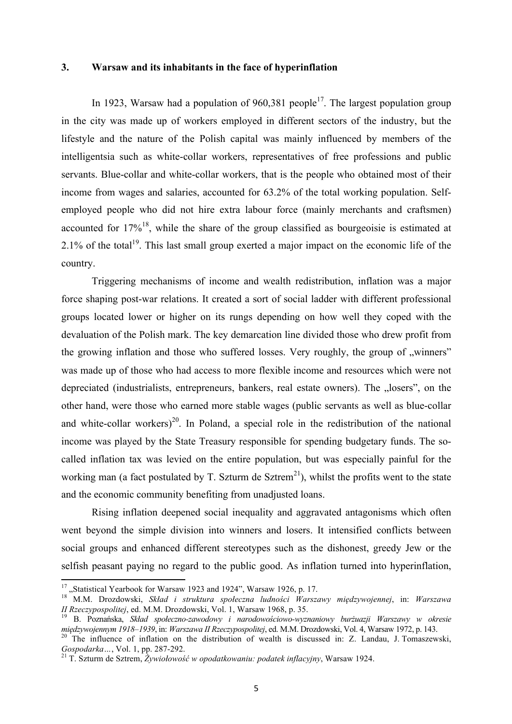### **3. Warsaw and its inhabitants in the face of hyperinflation**

In 1923, Warsaw had a population of 960.381 people<sup>17</sup>. The largest population group in the city was made up of workers employed in different sectors of the industry, but the lifestyle and the nature of the Polish capital was mainly influenced by members of the intelligentsia such as white-collar workers, representatives of free professions and public servants. Blue-collar and white-collar workers, that is the people who obtained most of their income from wages and salaries, accounted for 63.2% of the total working population. Selfemployed people who did not hire extra labour force (mainly merchants and craftsmen) accounted for  $17\%$ <sup>18</sup>, while the share of the group classified as bourgeoisie is estimated at 2.1% of the total<sup>19</sup>. This last small group exerted a major impact on the economic life of the country.

Triggering mechanisms of income and wealth redistribution, inflation was a major force shaping post-war relations. It created a sort of social ladder with different professional groups located lower or higher on its rungs depending on how well they coped with the devaluation of the Polish mark. The key demarcation line divided those who drew profit from the growing inflation and those who suffered losses. Very roughly, the group of "winners" was made up of those who had access to more flexible income and resources which were not depreciated (industrialists, entrepreneurs, bankers, real estate owners). The "losers", on the other hand, were those who earned more stable wages (public servants as well as blue-collar and white-collar workers)<sup>20</sup>. In Poland, a special role in the redistribution of the national income was played by the State Treasury responsible for spending budgetary funds. The socalled inflation tax was levied on the entire population, but was especially painful for the working man (a fact postulated by T. Szturm de Sztrem<sup>21</sup>), whilst the profits went to the state and the economic community benefiting from unadjusted loans.

Rising inflation deepened social inequality and aggravated antagonisms which often went beyond the simple division into winners and losers. It intensified conflicts between social groups and enhanced different stereotypes such as the dishonest, greedy Jew or the selfish peasant paying no regard to the public good. As inflation turned into hyperinflation,

<sup>&</sup>lt;sup>17</sup> ..Statistical Yearbook for Warsaw 1923 and 1924", Warsaw 1926, p. 17.

<sup>18</sup> M.M. Drozdowski, *Skład i struktura społeczna ludności Warszawy międzywojennej*, in: *Warszawa II Rzeczypospolitej*, ed. M.M. Drozdowski, Vol. 1, Warszaw 1968, p. 35.

<sup>&</sup>lt;sup>19</sup> B. Poznańska, *Skład społeczno-zawodowy i narodowościowo-wyznaniowy burżuazji Warszawy w okresie międzywojennym 1918–1939, in: Warszawa II Rzeczypospolitej, ed. M.M. Drozdowski, Vol. 4, Warsaw 1972, p. 143.* 

<sup>&</sup>lt;sup>20</sup> The influence of inflation on the distribution of wealth is discussed in: Z. Landau, J. Tomaszewski, *Gospodarka*..., Vol. 1, pp. 287-292.

*Gospodarka…*, Vol. 1, pp. 287-292. <sup>21</sup> T. Szturm de Sztrem, *Żywiołowość w opodatkowaniu: podatek inflacyjny*, Warsaw 1924.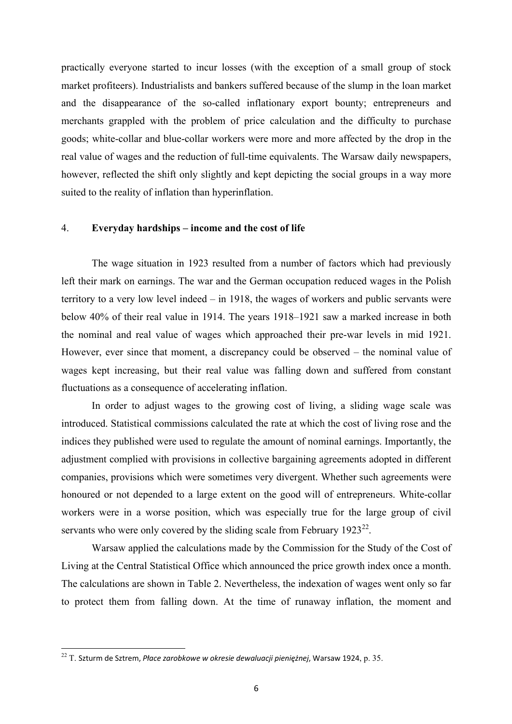practically everyone started to incur losses (with the exception of a small group of stock market profiteers). Industrialists and bankers suffered because of the slump in the loan market and the disappearance of the so-called inflationary export bounty; entrepreneurs and merchants grappled with the problem of price calculation and the difficulty to purchase goods; white-collar and blue-collar workers were more and more affected by the drop in the real value of wages and the reduction of full-time equivalents. The Warsaw daily newspapers, however, reflected the shift only slightly and kept depicting the social groups in a way more suited to the reality of inflation than hyperinflation.

## 4. **Everyday hardships – income and the cost of life**

The wage situation in 1923 resulted from a number of factors which had previously left their mark on earnings. The war and the German occupation reduced wages in the Polish territory to a very low level indeed – in 1918, the wages of workers and public servants were below 40% of their real value in 1914. The years 1918–1921 saw a marked increase in both the nominal and real value of wages which approached their pre-war levels in mid 1921. However, ever since that moment, a discrepancy could be observed – the nominal value of wages kept increasing, but their real value was falling down and suffered from constant fluctuations as a consequence of accelerating inflation.

In order to adjust wages to the growing cost of living, a sliding wage scale was introduced. Statistical commissions calculated the rate at which the cost of living rose and the indices they published were used to regulate the amount of nominal earnings. Importantly, the adjustment complied with provisions in collective bargaining agreements adopted in different companies, provisions which were sometimes very divergent. Whether such agreements were honoured or not depended to a large extent on the good will of entrepreneurs. White-collar workers were in a worse position, which was especially true for the large group of civil servants who were only covered by the sliding scale from February  $1923^{22}$ .

Warsaw applied the calculations made by the Commission for the Study of the Cost of Living at the Central Statistical Office which announced the price growth index once a month. The calculations are shown in Table 2. Nevertheless, the indexation of wages went only so far to protect them from falling down. At the time of runaway inflation, the moment and

<sup>&</sup>lt;sup>22</sup> T. Szturm de Sztrem*, Płace zarobkowe w okresie dewaluacji pieniężnej,* Warsaw 1924, p. 35.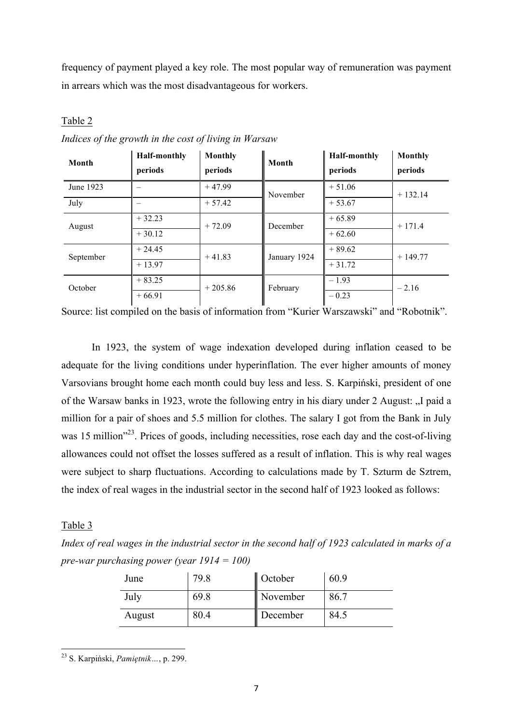frequency of payment played a key role. The most popular way of remuneration was payment in arrears which was the most disadvantageous for workers.

# Table 2

| Month     | <b>Half-monthly</b><br>periods | <b>Monthly</b><br>periods | Month        | <b>Half-monthly</b><br>periods | <b>Monthly</b><br>periods |  |
|-----------|--------------------------------|---------------------------|--------------|--------------------------------|---------------------------|--|
| June 1923 |                                | $+47.99$                  | November     | $+51.06$                       | $+132.14$                 |  |
| July      |                                | $+57.42$                  |              | $+53.67$                       |                           |  |
| August    | $+32.23$                       | $+72.09$                  | December     | $+65.89$                       | $+171.4$                  |  |
|           | $+30.12$                       |                           |              | $+62.60$                       |                           |  |
| September | $+24.45$                       | $+41.83$                  | January 1924 | $+89.62$                       | $+149.77$                 |  |
|           | $+13.97$                       |                           |              | $+31.72$                       |                           |  |
| October   | $+83.25$                       | $+205.86$                 | February     | $-1.93$                        | $-2.16$                   |  |
|           | $+66.91$                       |                           |              | $-0.23$                        |                           |  |

*Indices of the growth in the cost of living in Warsaw*

Source: list compiled on the basis of information from "Kurier Warszawski" and "Robotnik".

In 1923, the system of wage indexation developed during inflation ceased to be adequate for the living conditions under hyperinflation. The ever higher amounts of money Varsovians brought home each month could buy less and less. S. Karpiński, president of one of the Warsaw banks in 1923, wrote the following entry in his diary under 2 August: "I paid a million for a pair of shoes and 5.5 million for clothes. The salary I got from the Bank in July was 15 million<sup>223</sup>. Prices of goods, including necessities, rose each day and the cost-of-living allowances could not offset the losses suffered as a result of inflation. This is why real wages were subject to sharp fluctuations. According to calculations made by T. Szturm de Sztrem, the index of real wages in the industrial sector in the second half of 1923 looked as follows:

## Table 3

*Index of real wages in the industrial sector in the second half of 1923 calculated in marks of a pre-war purchasing power (year 1914 = 100)*

| June   | 79.8 | October  | 60.9 |
|--------|------|----------|------|
| July   | 69.8 | November | 86.7 |
| August | 80.4 | December | 84.5 |

<sup>&</sup>lt;u> 1989 - Johann Stein, marwolaethau a bh</u> <sup>23</sup> S. Karpiński, *Pamiętnik…*, p. 299.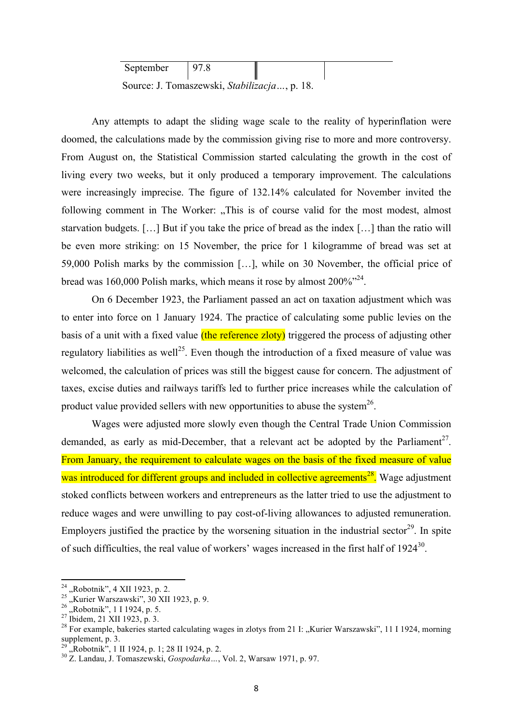| September                                    | 978 |  |  |  |  |
|----------------------------------------------|-----|--|--|--|--|
| Source: J. Tomaszewski, Stabilizacja, p. 18. |     |  |  |  |  |

Any attempts to adapt the sliding wage scale to the reality of hyperinflation were doomed, the calculations made by the commission giving rise to more and more controversy. From August on, the Statistical Commission started calculating the growth in the cost of living every two weeks, but it only produced a temporary improvement. The calculations were increasingly imprecise. The figure of 132.14% calculated for November invited the following comment in The Worker: "This is of course valid for the most modest, almost starvation budgets. […] But if you take the price of bread as the index […] than the ratio will be even more striking: on 15 November, the price for 1 kilogramme of bread was set at 59,000 Polish marks by the commission […], while on 30 November, the official price of bread was 160,000 Polish marks, which means it rose by almost  $200\%$ <sup>324</sup>.

On 6 December 1923, the Parliament passed an act on taxation adjustment which was to enter into force on 1 January 1924. The practice of calculating some public levies on the basis of a unit with a fixed value (the reference zloty) triggered the process of adjusting other regulatory liabilities as well<sup>25</sup>. Even though the introduction of a fixed measure of value was welcomed, the calculation of prices was still the biggest cause for concern. The adjustment of taxes, excise duties and railways tariffs led to further price increases while the calculation of product value provided sellers with new opportunities to abuse the system<sup>26</sup>.

Wages were adjusted more slowly even though the Central Trade Union Commission demanded, as early as mid-December, that a relevant act be adopted by the Parliament<sup>27</sup>. From January, the requirement to calculate wages on the basis of the fixed measure of value was introduced for different groups and included in collective agreements<sup>28</sup>. Wage adjustment stoked conflicts between workers and entrepreneurs as the latter tried to use the adjustment to reduce wages and were unwilling to pay cost-of-living allowances to adjusted remuneration. Employers justified the practice by the worsening situation in the industrial sector<sup>29</sup>. In spite of such difficulties, the real value of workers' wages increased in the first half of 1924<sup>30</sup>.

 $24$ , Robotnik", 4 XII 1923, p. 2.

<sup>&</sup>lt;sup>25</sup>, Kurier Warszawski", 30 XII 1923, p. 9.<br>
<sup>26</sup>, Robotnik", 1 I 1924, p. 5.<br>
<sup>27</sup> Ibidem, 21 XII 1923, p. 3.<br>
<sup>27</sup> Ibidem, 21 XII 1923, p. 3.<br>
<sup>28</sup> For example, bakeries started calculating wages in zlotys from 21 I: " supplement, p. 3.<br><sup>29</sup> "Robotnik", 1 II 1924, p. 1; 28 II 1924, p. 2.<br><sup>30</sup> Z. Landau, J. Tomaszewski, *Gospodarka* ..., Vol. 2, Warsaw 1971, p. 97.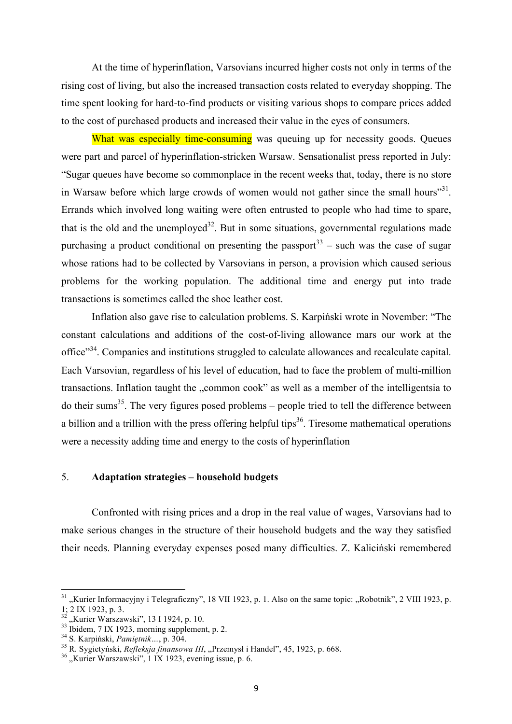At the time of hyperinflation, Varsovians incurred higher costs not only in terms of the rising cost of living, but also the increased transaction costs related to everyday shopping. The time spent looking for hard-to-find products or visiting various shops to compare prices added to the cost of purchased products and increased their value in the eyes of consumers.

What was especially time-consuming was queuing up for necessity goods. Queues were part and parcel of hyperinflation-stricken Warsaw. Sensationalist press reported in July: "Sugar queues have become so commonplace in the recent weeks that, today, there is no store in Warsaw before which large crowds of women would not gather since the small hours<sup>331</sup>. Errands which involved long waiting were often entrusted to people who had time to spare, that is the old and the unemployed<sup>32</sup>. But in some situations, governmental regulations made purchasing a product conditional on presenting the passport<sup>33</sup> – such was the case of sugar whose rations had to be collected by Varsovians in person, a provision which caused serious problems for the working population. The additional time and energy put into trade transactions is sometimes called the shoe leather cost.

Inflation also gave rise to calculation problems. S. Karpiński wrote in November: "The constant calculations and additions of the cost-of-living allowance mars our work at the office"34. Companies and institutions struggled to calculate allowances and recalculate capital. Each Varsovian, regardless of his level of education, had to face the problem of multi-million transactions. Inflation taught the "common cook" as well as a member of the intelligentsia to do their sums<sup>35</sup>. The very figures posed problems – people tried to tell the difference between a billion and a trillion with the press offering helpful tips<sup>36</sup>. Tiresome mathematical operations were a necessity adding time and energy to the costs of hyperinflation

## 5. **Adaptation strategies – household budgets**

Confronted with rising prices and a drop in the real value of wages, Varsovians had to make serious changes in the structure of their household budgets and the way they satisfied their needs. Planning everyday expenses posed many difficulties. Z. Kaliciński remembered

 $31$ , Kurier Informacyjny i Telegraficzny", 18 VII 1923, p. 1. Also on the same topic: "Robotnik", 2 VIII 1923, p. 1; 2 IX 1923, p. 3.<br>
<sup>32</sup> "Kurier Warszawski", 13 I 1924, p. 10.<br>
<sup>33</sup> Ibidem, 7 IX 1923, morning supplement, p. 2.<br>
<sup>34</sup> S. Karpiński, *Pamiętnik...*, p. 304.<br>
<sup>35</sup> R. Sygietyński, *Refleksja finansowa III*, "Przemysł i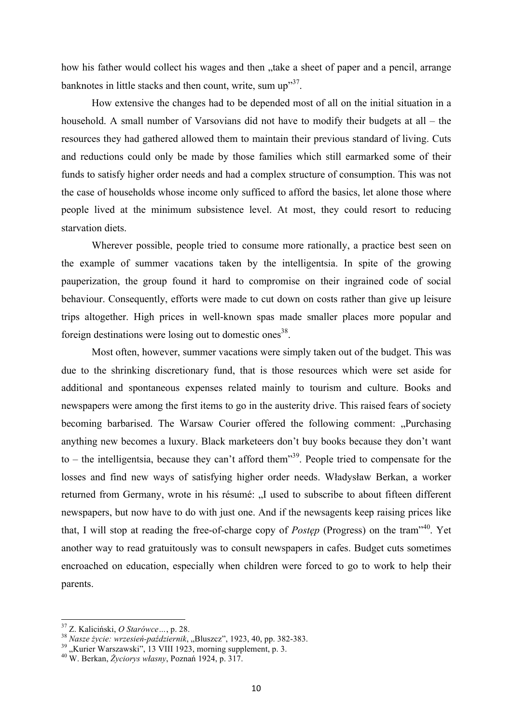how his father would collect his wages and then "take a sheet of paper and a pencil, arrange banknotes in little stacks and then count, write, sum up<sup>37</sup>.

How extensive the changes had to be depended most of all on the initial situation in a household. A small number of Varsovians did not have to modify their budgets at all – the resources they had gathered allowed them to maintain their previous standard of living. Cuts and reductions could only be made by those families which still earmarked some of their funds to satisfy higher order needs and had a complex structure of consumption. This was not the case of households whose income only sufficed to afford the basics, let alone those where people lived at the minimum subsistence level. At most, they could resort to reducing starvation diets.

Wherever possible, people tried to consume more rationally, a practice best seen on the example of summer vacations taken by the intelligentsia. In spite of the growing pauperization, the group found it hard to compromise on their ingrained code of social behaviour. Consequently, efforts were made to cut down on costs rather than give up leisure trips altogether. High prices in well-known spas made smaller places more popular and foreign destinations were losing out to domestic ones<sup>38</sup>.

Most often, however, summer vacations were simply taken out of the budget. This was due to the shrinking discretionary fund, that is those resources which were set aside for additional and spontaneous expenses related mainly to tourism and culture. Books and newspapers were among the first items to go in the austerity drive. This raised fears of society becoming barbarised. The Warsaw Courier offered the following comment: "Purchasing" anything new becomes a luxury. Black marketeers don't buy books because they don't want to – the intelligentsia, because they can't afford them<sup>339</sup>. People tried to compensate for the losses and find new ways of satisfying higher order needs. Władysław Berkan, a worker returned from Germany, wrote in his résumé: "I used to subscribe to about fifteen different newspapers, but now have to do with just one. And if the newsagents keep raising prices like that, I will stop at reading the free-of-charge copy of *Postęp* (Progress) on the tram"40. Yet another way to read gratuitously was to consult newspapers in cafes. Budget cuts sometimes encroached on education, especially when children were forced to go to work to help their parents.

<sup>&</sup>lt;sup>37</sup> Z. Kaliciński, *O Starówce* ..., p. 28.<br><sup>38</sup> Nasze życie: wrzesień-październik, "Bluszcz", 1923, 40, pp. 382-383.<br><sup>39</sup> "Kurier Warszawski", 13 VIII 1923, morning supplement, p. 3.<br><sup>40</sup> W. Berkan, *Życiorys własny*, P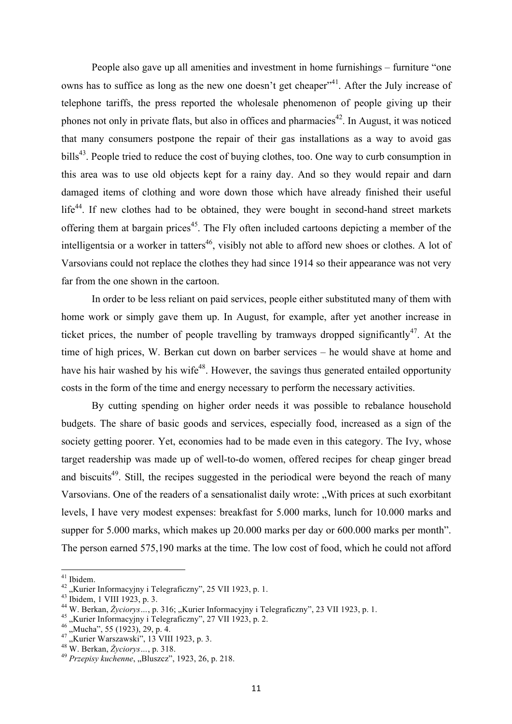People also gave up all amenities and investment in home furnishings – furniture "one owns has to suffice as long as the new one doesn't get cheaper<sup>, 41</sup>. After the July increase of telephone tariffs, the press reported the wholesale phenomenon of people giving up their phones not only in private flats, but also in offices and pharmacies<sup>42</sup>. In August, it was noticed that many consumers postpone the repair of their gas installations as a way to avoid gas bills<sup>43</sup>. People tried to reduce the cost of buying clothes, too. One way to curb consumption in this area was to use old objects kept for a rainy day. And so they would repair and darn damaged items of clothing and wore down those which have already finished their useful  $life^{44}$ . If new clothes had to be obtained, they were bought in second-hand street markets offering them at bargain prices<sup>45</sup>. The Fly often included cartoons depicting a member of the intelligentsia or a worker in tatters<sup>46</sup>, visibly not able to afford new shoes or clothes. A lot of Varsovians could not replace the clothes they had since 1914 so their appearance was not very far from the one shown in the cartoon.

In order to be less reliant on paid services, people either substituted many of them with home work or simply gave them up. In August, for example, after yet another increase in ticket prices, the number of people travelling by tramways dropped significantly<sup>47</sup>. At the time of high prices, W. Berkan cut down on barber services – he would shave at home and have his hair washed by his wife<sup>48</sup>. However, the savings thus generated entailed opportunity costs in the form of the time and energy necessary to perform the necessary activities.

By cutting spending on higher order needs it was possible to rebalance household budgets. The share of basic goods and services, especially food, increased as a sign of the society getting poorer. Yet, economies had to be made even in this category. The Ivy, whose target readership was made up of well-to-do women, offered recipes for cheap ginger bread and biscuits<sup>49</sup>. Still, the recipes suggested in the periodical were beyond the reach of many Varsovians. One of the readers of a sensationalist daily wrote: "With prices at such exorbitant" levels, I have very modest expenses: breakfast for 5.000 marks, lunch for 10.000 marks and supper for 5.000 marks, which makes up 20.000 marks per day or 600.000 marks per month". The person earned 575,190 marks at the time. The low cost of food, which he could not afford

<sup>&</sup>lt;sup>41</sup> Ibidem.<br>
<sup>42</sup> "Kurier Informacyjny i Telegraficzny", 25 VII 1923, p. 1.<br>
<sup>43</sup> Ibidem, 1 VIII 1923, p. 3.<br>
<sup>44</sup> W. Berkan, *Życiorys* ..., p. 316; "Kurier Informacyjny i Telegraficzny", 23 VII 1923, p. 1.<br>
<sup>45</sup> "Kurie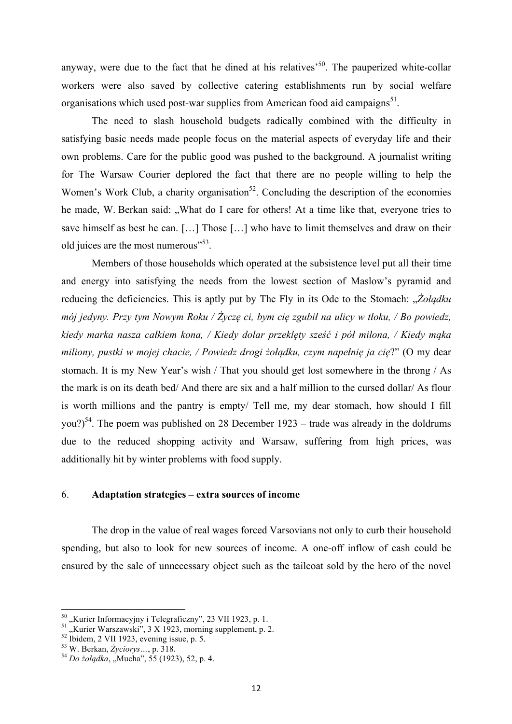anyway, were due to the fact that he dined at his relatives<sup> $50$ </sup>. The pauperized white-collar workers were also saved by collective catering establishments run by social welfare organisations which used post-war supplies from American food aid campaigns $^{51}$ .

The need to slash household budgets radically combined with the difficulty in satisfying basic needs made people focus on the material aspects of everyday life and their own problems. Care for the public good was pushed to the background. A journalist writing for The Warsaw Courier deplored the fact that there are no people willing to help the Women's Work Club, a charity organisation<sup>52</sup>. Concluding the description of the economies he made, W. Berkan said: "What do I care for others! At a time like that, everyone tries to save himself as best he can. […] Those […] who have to limit themselves and draw on their old juices are the most numerous"<sup>53</sup>.

Members of those households which operated at the subsistence level put all their time and energy into satisfying the needs from the lowest section of Maslow's pyramid and reducing the deficiencies. This is aptly put by The Fly in its Ode to the Stomach: "*Żołądku mój jedyny. Przy tym Nowym Roku / Życzę ci, bym cię zgubił na ulicy w tłoku, / Bo powiedz, kiedy marka nasza całkiem kona, / Kiedy dolar przeklęty sześć i pół milona, / Kiedy mąka miliony, pustki w mojej chacie, / Powiedz drogi żołądku, czym napełnię ja cię*?" (O my dear stomach. It is my New Year's wish / That you should get lost somewhere in the throng / As the mark is on its death bed/ And there are six and a half million to the cursed dollar/ As flour is worth millions and the pantry is empty/ Tell me, my dear stomach, how should I fill you?)<sup>54</sup>. The poem was published on 28 December 1923 – trade was already in the doldrums due to the reduced shopping activity and Warsaw, suffering from high prices, was additionally hit by winter problems with food supply.

### 6. **Adaptation strategies – extra sources of income**

The drop in the value of real wages forced Varsovians not only to curb their household spending, but also to look for new sources of income. A one-off inflow of cash could be ensured by the sale of unnecessary object such as the tailcoat sold by the hero of the novel

<sup>&</sup>lt;sup>50</sup>, "Kurier Informacyjny i Telegraficzny", 23 VII 1923, p. 1.<br><sup>51</sup>, "Kurier Warszawski", 3 X 1923, morning supplement, p. 2.<br><sup>52</sup> Ibidem, 2 VII 1923, evening issue, p. 5.<br><sup>53</sup> W. Berkan, *Życiorys* ..., p. 318.<br><sup>54</sup> *Do*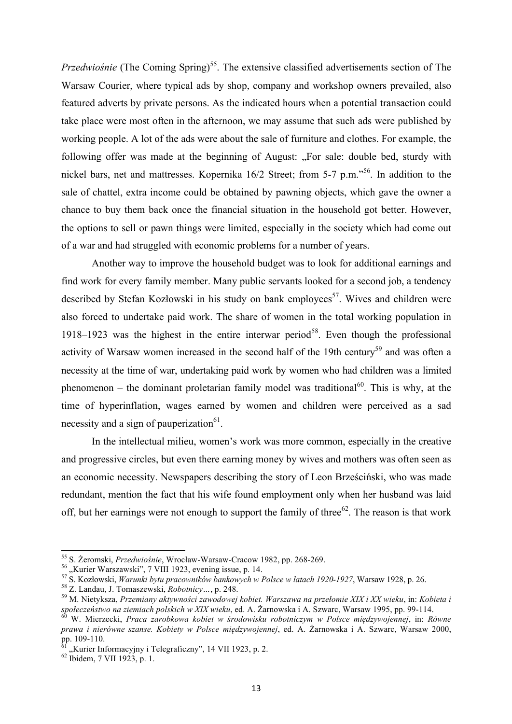*Przedwiośnie* (The Coming Spring)<sup>55</sup>. The extensive classified advertisements section of The Warsaw Courier, where typical ads by shop, company and workshop owners prevailed, also featured adverts by private persons. As the indicated hours when a potential transaction could take place were most often in the afternoon, we may assume that such ads were published by working people. A lot of the ads were about the sale of furniture and clothes. For example, the following offer was made at the beginning of August: "For sale: double bed, sturdy with nickel bars, net and mattresses. Kopernika 16/2 Street; from 5-7 p.m.<sup>56</sup>. In addition to the sale of chattel, extra income could be obtained by pawning objects, which gave the owner a chance to buy them back once the financial situation in the household got better. However, the options to sell or pawn things were limited, especially in the society which had come out of a war and had struggled with economic problems for a number of years.

Another way to improve the household budget was to look for additional earnings and find work for every family member. Many public servants looked for a second job, a tendency described by Stefan Kozłowski in his study on bank employees<sup>57</sup>. Wives and children were also forced to undertake paid work. The share of women in the total working population in 1918–1923 was the highest in the entire interwar period<sup>58</sup>. Even though the professional activity of Warsaw women increased in the second half of the 19th century<sup>59</sup> and was often a necessity at the time of war, undertaking paid work by women who had children was a limited phenomenon – the dominant proletarian family model was traditional<sup>60</sup>. This is why, at the time of hyperinflation, wages earned by women and children were perceived as a sad necessity and a sign of pauperization $^{61}$ .

In the intellectual milieu, women's work was more common, especially in the creative and progressive circles, but even there earning money by wives and mothers was often seen as an economic necessity. Newspapers describing the story of Leon Brześciński, who was made redundant, mention the fact that his wife found employment only when her husband was laid off, but her earnings were not enough to support the family of three<sup>62</sup>. The reason is that work

<sup>&</sup>lt;sup>55</sup> S. Żeromski, *Przedwiośnie*, Wrocław-Warsaw-Cracow 1982, pp. 268-269.<br><sup>56</sup> "Kurier Warszawski", 7 VIII 1923, evening issue, p. 14.<br><sup>57</sup> S. Kozłowski, *Warunki bytu pracowników bankowych w Polsce w latach 1920-1927*,

społeczeństwo na ziemiach polskich w XIX wieku, ed. A. Żarnowska i A. Szwarc, Warsaw 1995, pp. 99-114.<br><sup>60</sup> W. Mierzecki, *Praca zarobkowa kobiet w środowisku robotniczym w Polsce międzywojennej, in: Równe* 

*prawa i nierówne szanse. Kobiety w Polsce międzywojennej*, ed. A. Żarnowska i A. Szwarc, Warsaw 2000,

 $^{61}$ , Kurier Informacyjny i Telegraficzny", 14 VII 1923, p. 2.  $^{62}$  Ibidem, 7 VII 1923, p. 1.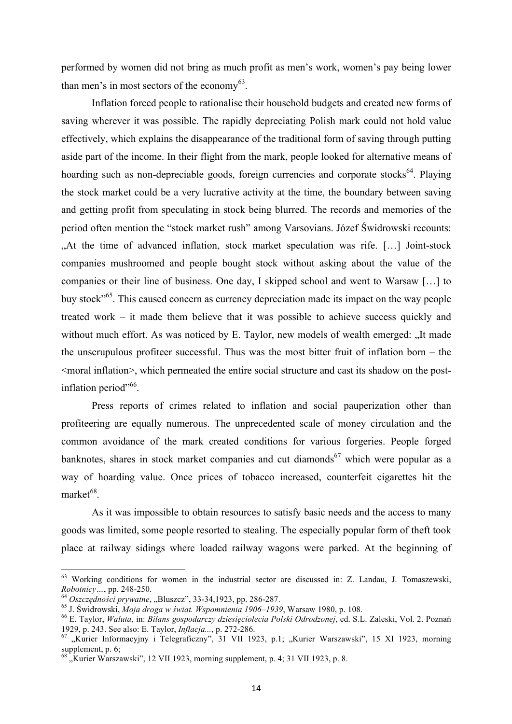performed by women did not bring as much profit as men's work, women's pay being lower than men's in most sectors of the economy $^{63}$ .

Inflation forced people to rationalise their household budgets and created new forms of saving wherever it was possible. The rapidly depreciating Polish mark could not hold value effectively, which explains the disappearance of the traditional form of saving through putting aside part of the income. In their flight from the mark, people looked for alternative means of hoarding such as non-depreciable goods, foreign currencies and corporate stocks<sup>64</sup>. Playing the stock market could be a very lucrative activity at the time, the boundary between saving and getting profit from speculating in stock being blurred. The records and memories of the period often mention the "stock market rush" among Varsovians. Józef Świdrowski recounts: "At the time of advanced inflation, stock market speculation was rife. […] Joint-stock companies mushroomed and people bought stock without asking about the value of the companies or their line of business. One day, I skipped school and went to Warsaw […] to buy stock"65. This caused concern as currency depreciation made its impact on the way people treated work – it made them believe that it was possible to achieve success quickly and without much effort. As was noticed by E. Taylor, new models of wealth emerged: "It made the unscrupulous profiteer successful. Thus was the most bitter fruit of inflation born – the <moral inflation>, which permeated the entire social structure and cast its shadow on the postinflation period"<sup>66</sup>.

Press reports of crimes related to inflation and social pauperization other than profiteering are equally numerous. The unprecedented scale of money circulation and the common avoidance of the mark created conditions for various forgeries. People forged banknotes, shares in stock market companies and cut diamonds<sup>67</sup> which were popular as a way of hoarding value. Once prices of tobacco increased, counterfeit cigarettes hit the market<sup>68</sup>.

As it was impossible to obtain resources to satisfy basic needs and the access to many goods was limited, some people resorted to stealing. The especially popular form of theft took place at railway sidings where loaded railway wagons were parked. At the beginning of

<sup>63</sup> Working conditions for women in the industrial sector are discussed in: Z. Landau, J. Tomaszewski,

Robotnicy..., pp. 248-250.<br><sup>64</sup> Oszczędności prywatne, "Bluszcz", 33-34,1923, pp. 286-287.<br><sup>65</sup> J. Świdrowski, *Moja droga w świat. Wspomnienia 1906–1939*, Warsaw 1980, p. 108.<br><sup>66</sup> E. Taylor, *Waluta*, in: *Bilans gospoda* 

<sup>&</sup>lt;sup>67</sup> "Kurier Informacyjny i Telegraficzny", 31 VII 1923, p.1; "Kurier Warszawski", 15 XI 1923, morning supplement, p. 6;

Kurier Warszawski", 12 VII 1923, morning supplement, p. 4; 31 VII 1923, p. 8.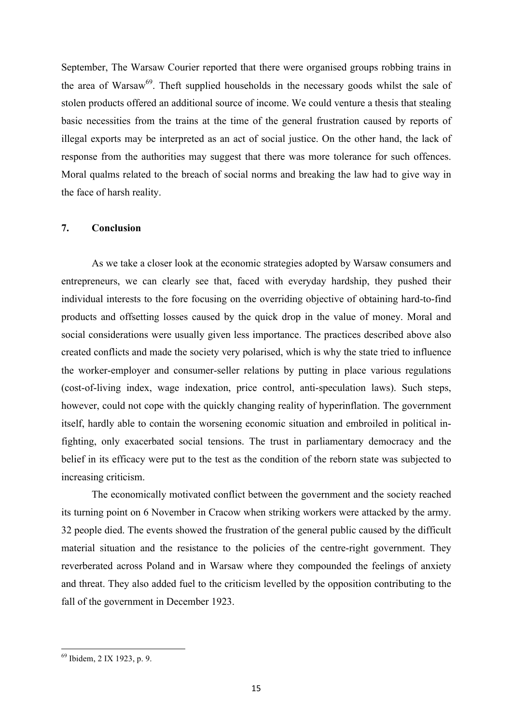September, The Warsaw Courier reported that there were organised groups robbing trains in the area of Warsaw<sup>69</sup>. Theft supplied households in the necessary goods whilst the sale of stolen products offered an additional source of income. We could venture a thesis that stealing basic necessities from the trains at the time of the general frustration caused by reports of illegal exports may be interpreted as an act of social justice. On the other hand, the lack of response from the authorities may suggest that there was more tolerance for such offences. Moral qualms related to the breach of social norms and breaking the law had to give way in the face of harsh reality.

### **7. Conclusion**

As we take a closer look at the economic strategies adopted by Warsaw consumers and entrepreneurs, we can clearly see that, faced with everyday hardship, they pushed their individual interests to the fore focusing on the overriding objective of obtaining hard-to-find products and offsetting losses caused by the quick drop in the value of money. Moral and social considerations were usually given less importance. The practices described above also created conflicts and made the society very polarised, which is why the state tried to influence the worker-employer and consumer-seller relations by putting in place various regulations (cost-of-living index, wage indexation, price control, anti-speculation laws). Such steps, however, could not cope with the quickly changing reality of hyperinflation. The government itself, hardly able to contain the worsening economic situation and embroiled in political infighting, only exacerbated social tensions. The trust in parliamentary democracy and the belief in its efficacy were put to the test as the condition of the reborn state was subjected to increasing criticism.

The economically motivated conflict between the government and the society reached its turning point on 6 November in Cracow when striking workers were attacked by the army. 32 people died. The events showed the frustration of the general public caused by the difficult material situation and the resistance to the policies of the centre-right government. They reverberated across Poland and in Warsaw where they compounded the feelings of anxiety and threat. They also added fuel to the criticism levelled by the opposition contributing to the fall of the government in December 1923.

<sup>69</sup> Ibidem, 2 IX 1923, p. 9.